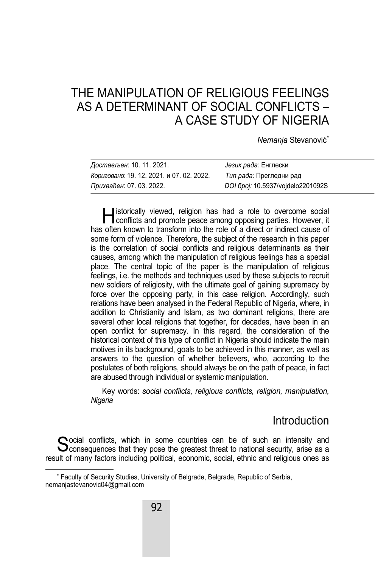# THE MANIPULATION OF RELIGIOUS FEELINGS AS A DETERMINANT OF SOCIAL CONFLICTS – A CASE STUDY OF NIGERIA

*Nemanja* Stevanović

| Достављен: 10. 11. 2021.                  | Језик рада: Енглески              |
|-------------------------------------------|-----------------------------------|
| Кориговано: 19. 12. 2021. и 07. 02. 2022. | Тип рада: Прегледни рад           |
| Прихваћен: 07. 03. 2022.                  | DOI 6poj: 10.5937/vojdelo2201092S |

listorically viewed, religion has had a role to overcome social **Experience IV** istorically viewed, religion has had a role to overcome social conflicts and promote peace among opposing parties. However, it has often known to transform into the role of a direct or indirect cause of some form of violence. Therefore, the subject of the research in this paper is the correlation of social conflicts and religious determinants as their causes, among which the manipulation of religious feelings has a special place. The central topic of the paper is the manipulation of religious feelings, i.e. the methods and techniques used by these subjects to recruit new soldiers of religiosity, with the ultimate goal of gaining supremacy by force over the opposing party, in this case religion. Accordingly, such relations have been analysed in the Federal Republic of Nigeria, where, in addition to Christianity and Islam, as two dominant religions, there are several other local religions that together, for decades, have been in an open conflict for supremacy. In this regard, the consideration of the historical context of this type of conflict in Nigeria should indicate the main motives in its background, goals to be achieved in this manner, as well as answers to the question of whether believers, who, according to the postulates of both religions, should always be on the path of peace, in fact are abused through individual or systemic manipulation.

Key words: *social conflicts, religious conflicts, religion, manipulation, Nigeria*

### Introduction

 $\bigcirc$  ocial conflicts, which in some countries can be of such an intensity and Social conflicts, which in some countries can be of such an intensity and Sconsequences that they pose the greatest threat to national security, arise as a result of many factors including political, economic, social, ethnic and religious ones as

 $\overline{\phantom{a}}$  Faculty of Security Studies, University of Belgrade, Belgrade, Republic of Serbia, nemanjastevanovic04@gmail.com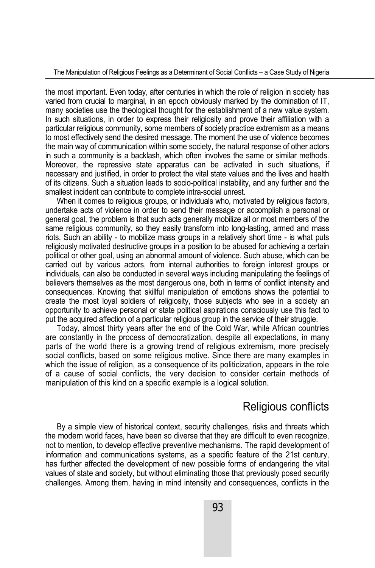the most important. Even today, after centuries in which the role of religion in society has varied from crucial to marginal, in an epoch obviously marked by the domination of IT, many societies use the theological thought for the establishment of a new value system. In such situations, in order to express their religiosity and prove their affiliation with a particular religious community, some members of society practice extremism as a means to most effectively send the desired message. The moment the use of violence becomes the main way of communication within some society, the natural response of other actors in such a community is a backlash, which often involves the same or similar methods. Moreover, the repressive state apparatus can be activated in such situations, if necessary and justified, in order to protect the vital state values and the lives and health of its citizens. Such a situation leads to socio-political instability, and any further and the smallest incident can contribute to complete intra-social unrest.

When it comes to religious groups, or individuals who, motivated by religious factors, undertake acts of violence in order to send their message or accomplish a personal or general goal, the problem is that such acts generally mobilize all or most members of the same religious community, so they easily transform into long-lasting, armed and mass riots. Such an ability - to mobilize mass groups in a relatively short time - is what puts religiously motivated destructive groups in a position to be abused for achieving a certain political or other goal, using an abnormal amount of violence. Such abuse, which can be carried out by various actors, from internal authorities to foreign interest groups or individuals, can also be conducted in several ways including manipulating the feelings of believers themselves as the most dangerous one, both in terms of conflict intensity and consequences. Knowing that skillful manipulation of emotions shows the potential to create the most loyal soldiers of religiosity, those subjects who see in a society an opportunity to achieve personal or state political aspirations consciously use this fact to put the acquired affection of a particular religious group in the service of their struggle.

Today, almost thirty years after the end of the Cold War, while African countries are constantly in the process of democratization, despite all expectations, in many parts of the world there is a growing trend of religious extremism, more precisely social conflicts, based on some religious motive. Since there are many examples in which the issue of religion, as a consequence of its politicization, appears in the role of a cause of social conflicts, the very decision to consider certain methods of manipulation of this kind on a specific example is a logical solution.

### Religious conflicts

By a simple view of historical context, security challenges, risks and threats which the modern world faces, have been so diverse that they are difficult to even recognize, not to mention, to develop effective preventive mechanisms. The rapid development of information and communications systems, as a specific feature of the 21st century, has further affected the development of new possible forms of endangering the vital values of state and society, but without eliminating those that previously posed security challenges. Among them, having in mind intensity and consequences, conflicts in the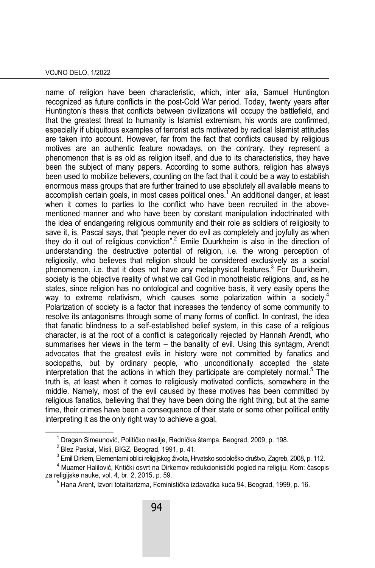#### VOJNO DELO, 1/2022

name of religion have been characteristic, which, inter alia, Samuel Huntington recognized as future conflicts in the post-Cold War period. Today, twenty years after Huntington's thesis that conflicts between civilizations will occupy the battlefield, and that the greatest threat to humanity is Islamist extremism, his words are confirmed, especially if ubiquitous examples of terrorist acts motivated by radical Islamist attitudes are taken into account. However, far from the fact that conflicts caused by religious motives are an authentic feature nowadays, on the contrary, they represent a phenomenon that is as old as religion itself, and due to its characteristics, they have been the subject of many papers. According to some authors, religion has always been used to mobilize believers, counting on the fact that it could be a way to establish enormous mass groups that are further trained to use absolutely all available means to accomplish certain goals, in most cases political ones. $^{\rm 1}$  An additional danger, at least when it comes to parties to the conflict who have been recruited in the abovementioned manner and who have been by constant manipulation indoctrinated with the idea of endangering religious community and their role as soldiers of religiosity to save it, is, Pascal says, that "people never do evil as completely and joyfully as when they do it out of religious conviction".<sup>2</sup> Emile Duurkheim is also in the direction of understanding the destructive potential of religion, i.e. the wrong perception of religiosity, who believes that religion should be considered exclusively as a social phenomenon, i.e. that it does not have any metaphysical features.<sup>3</sup> For Duurkheim, society is the objective reality of what we call God in monotheistic religions, and, as he states, since religion has no ontological and cognitive basis, it very easily opens the way to extreme relativism, which causes some polarization within a society.<sup>4</sup> Polarization of society is a factor that increases the tendency of some community to resolve its antagonisms through some of many forms of conflict. In contrast, the idea that fanatic blindness to a self-established belief system, in this case of a religious character, is at the root of a conflict is categorically rejected by Hannah Arendt, who summarises her views in the term – the banality of evil. Using this syntagm, Arendt advocates that the greatest evils in history were not committed by fanatics and sociopaths, but by ordinary people, who unconditionally accepted the state interpretation that the actions in which they participate are completely normal.<sup>5</sup> The truth is, at least when it comes to religiously motivated conflicts, somewhere in the middle. Namely, most of the evil caused by these motives has been committed by religious fanatics, believing that they have been doing the right thing, but at the same time, their crimes have been a consequence of their state or some other political entity interpreting it as the only right way to achieve a goal.

 $\overline{\phantom{0}}$  $^1$  Dragan Simeunović, Političko nasilje, Radnička štampa, Beograd, 2009, p. 198.

 $2$  Blez Paskal, Misli, BIGZ, Beograd, 1991, p. 41.

<sup>&</sup>lt;sup>3</sup> Emil Dirkem, Elementarni oblici religijskog života, Hrvatsko sociološko društvo, Zagreb, 2008, p. 112.<br><sup>4</sup> Muamer Halilović, Kritički opvrt na Dirkemov redukcionistički pogled na religiju. Kom: česenis

 $4$  Muamer Halilović, Kritički osvrt na Dirkemov redukcionistički pogled na religiju, Kom: časopis za religijske nauke, vol. 4, br. 2, 2015, p. 59. 5

 $5$  Hana Arent, Izvori totalitarizma, Feministička izdavačka kuća 94, Beograd, 1999, p. 16.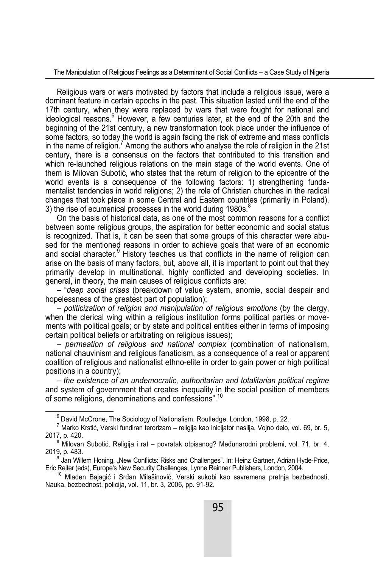The Manipulation of Religious Feelings as a Determinant of Social Conflicts – a Case Study of Nigeria

Religious wars or wars motivated by factors that include a religious issue, were a dominant feature in certain epochs in the past. This situation lasted until the end of the 17th century, when they were replaced by wars that were fought for national and ideological reasons.<sup>6</sup> However, a few centuries later, at the end of the 20th and the beginning of the 21st century, a new transformation took place under the influence of some factors, so today the world is again facing the risk of extreme and mass conflicts in the name of religion.<sup>7</sup> Among the authors who analyse the role of religion in the 21st century, there is a consensus on the factors that contributed to this transition and which re-launched religious relations on the main stage of the world events. One of them is Milovan Subotić, who states that the return of religion to the epicentre of the world events is a consequence of the following factors: 1) strengthening fundamentalist tendencies in world religions; 2) the role of Christian churches in the radical changes that took place in some Central and Eastern countries (primarily in Poland), 3) the rise of ecumenical processes in the world during 1980s.<sup>8</sup>

On the basis of historical data, as one of the most common reasons for a conflict between some religious groups, the aspiration for better economic and social status is recognized. That is, it can be seen that some groups of this character were abused for the mentioned reasons in order to achieve goals that were of an economic and social character.<sup>9</sup> History teaches us that conflicts in the name of religion can arise on the basis of many factors, but, above all, it is important to point out that they primarily develop in multinational, highly conflicted and developing societies. In general, in theory, the main causes of religious conflicts are:

– "*deep social crises* (breakdown of value system, anomie, social despair and hopelessness of the greatest part of population);

– *politicization of religion and manipulation of religious emotions* (by the clergy, when the clerical wing within a religious institution forms political parties or movements with political goals; or by state and political entities either in terms of imposing certain political beliefs or arbitrating on religious issues);

– *permeation of religious and national complex* (combination of nationalism, national chauvinism and religious fanaticism, as a consequence of a real or apparent coalition of religious and nationalist ethno-elite in order to gain power or high political positions in a country);

– *the existence of an undemocratic, authoritarian and totalitarian political regime*  and system of government that creates inequality in the social position of members of some religions, denominations and confessions".<sup>10</sup>

<sup>6</sup>  $6$  David McCrone, The Sociology of Nationalism. Routledge, London, 1998, p. 22.

 $^7$  Marko Krstić, Verski fundiran terorizam – religija kao inicijator nasilja, Vojno delo, vol. 69, br. 5, 2017, p. 420. 8

 $8$  Milovan Subotić, Religija i rat – povratak otpisanog? Međunarodni problemi, vol. 71, br. 4, 2019, p. 483. 9

<sup>&</sup>lt;sup>9</sup> Jan Willem Honing, "New Conflicts: Risks and Challenges". In: Heinz Gartner, Adrian Hyde-Price, Eric Reiter (eds), Europe's New Security Challenges, Lynne Reinner Publishers, London, 2004.

<sup>&</sup>lt;sup>10</sup> Mladen Bajagić i Srđan Milašinović, Verski sukobi kao savremena pretnja bezbednosti, Nauka, bezbednost, policija, vol. 11, br. 3, 2006, pp. 91-92.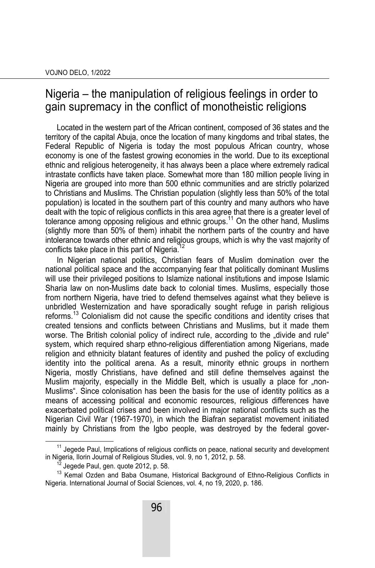### Nigeria – the manipulation of religious feelings in order to gain supremacy in the conflict of monotheistic religions

Located in the western part of the African continent, composed of 36 states and the territory of the capital Abuja, once the location of many kingdoms and tribal states, the Federal Republic of Nigeria is today the most populous African country, whose economy is one of the fastest growing economies in the world. Due to its exceptional ethnic and religious heterogeneity, it has always been a place where extremely radical intrastate conflicts have taken place. Somewhat more than 180 million people living in Nigeria are grouped into more than 500 ethnic communities and are strictly polarized to Christians and Muslims. The Christian population (slightly less than 50% of the total population) is located in the southern part of this country and many authors who have dealt with the topic of religious conflicts in this area agree that there is a greater level of tolerance among opposing religious and ethnic groups.<sup>11</sup> On the other hand, Muslims (slightly more than 50% of them) inhabit the northern parts of the country and have intolerance towards other ethnic and religious groups, which is why the vast majority of conflicts take place in this part of Nigeria.<sup>12</sup>

In Nigerian national politics, Christian fears of Muslim domination over the national political space and the accompanying fear that politically dominant Muslims will use their privileged positions to Islamize national institutions and impose Islamic Sharia law on non-Muslims date back to colonial times. Muslims, especially those from northern Nigeria, have tried to defend themselves against what they believe is unbridled Westernization and have sporadically sought refuge in parish religious reforms.<sup>13</sup> Colonialism did not cause the specific conditions and identity crises that created tensions and conflicts between Christians and Muslims, but it made them worse. The British colonial policy of indirect rule, according to the "divide and rule" system, which required sharp ethno-religious differentiation among Nigerians, made religion and ethnicity blatant features of identity and pushed the policy of excluding identity into the political arena. As a result, minority ethnic groups in northern Nigeria, mostly Christians, have defined and still define themselves against the Muslim majority, especially in the Middle Belt, which is usually a place for "non-Muslims". Since colonisation has been the basis for the use of identity politics as a means of accessing political and economic resources, religious differences have exacerbated political crises and been involved in major national conflicts such as the Nigerian Civil War (1967-1970), in which the Biafran separatist movement initiated mainly by Christians from the Igbo people, was destroyed by the federal gover-

<sup>&</sup>lt;sup>11</sup> Jegede Paul, Implications of religious conflicts on peace, national security and development in Nigeria, Ilorin Journal of Religious Studies, vol. 9, no 1, 2012, p. 58.<br><sup>12</sup> Jegede Paul, gen. quote 2012, p. 58.

<sup>&</sup>lt;sup>13</sup> Kemal Ozden and Baba Osumane, Historical Background of Ethno-Religious Conflicts in Nigeria. International Journal of Social Sciences, vol. 4, no 19, 2020, p. 186.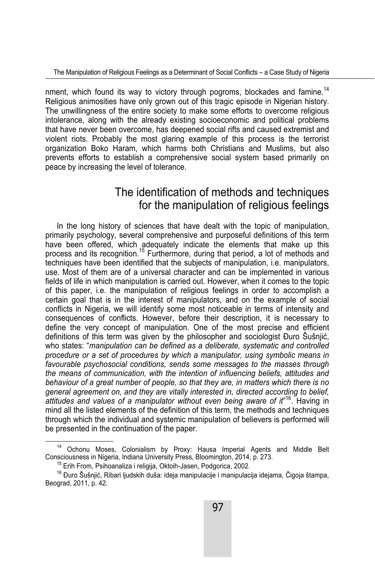nment, which found its way to victory through pogroms, blockades and famine.<sup>14</sup> Religious animosities have only grown out of this tragic episode in Nigerian history. The unwillingness of the entire society to make some efforts to overcome religious intolerance, along with the already existing socioeconomic and political problems that have never been overcome, has deepened social rifts and caused extremist and violent riots. Probably the most glaring example of this process is the terrorist organization Boko Haram, which harms both Christians and Muslims, but also prevents efforts to establish a comprehensive social system based primarily on peace by increasing the level of tolerance.

## The identification of methods and techniques for the manipulation of religious feelings

In the long history of sciences that have dealt with the topic of manipulation, primarily psychology, several comprehensive and purposeful definitions of this term have been offered, which adequately indicate the elements that make up this process and its recognition.15 Furthermore, during that period, a lot of methods and techniques have been identified that the subjects of manipulation, i.e. manipulators, use. Most of them are of a universal character and can be implemented in various fields of life in which manipulation is carried out. However, when it comes to the topic of this paper, i.e. the manipulation of religious feelings in order to accomplish a certain goal that is in the interest of manipulators, and on the example of social conflicts in Nigeria, we will identify some most noticeable in terms of intensity and consequences of conflicts. However, before their description, it is necessary to define the very concept of manipulation. One of the most precise and efficient definitions of this term was given by the philosopher and sociologist Đuro Šušnjić, who states: "*manipulation can be defined as a deliberate, systematic and controlled procedure or a set of procedures by which a manipulator, using symbolic means in favourable psychosocial conditions, sends some messages to the masses through the means of communication, with the intention of influencing beliefs, attitudes and behaviour of a great number of people, so that they are, in matters which there is no general agreement on, and they are vitally interested in, directed according to belief, attitudes and values of a manipulator without even being aware of it*" 16. Having in mind all the listed elements of the definition of this term, the methods and techniques through which the individual and systemic manipulation of believers is performed will be presented in the continuation of the paper.

<sup>&</sup>lt;sup>14</sup> Ochonu Moses, Colonialism by Proxy: Hausa Imperial Agents and Middle Belt Consciousness in Nigeria, Indiana University Press, Bloomington, 2014, p. 273.

<sup>&</sup>lt;sup>15</sup> Erih From, Psihoanaliza i religija, Oktoih-Jasen, Podgorica, 2002.<br><sup>16</sup> Đuro Šušnjić, Ribari ljudskih duša: ideja manipulacije i manipulacija idejama, Čigoja štampa, Beograd, 2011, p. 42.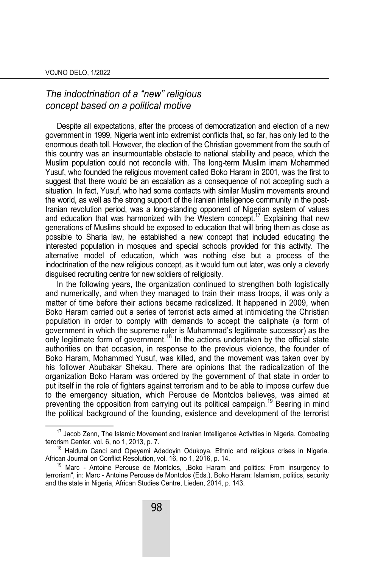### *The indoctrination of a "new" religious concept based on a political motive*

Despite all expectations, after the process of democratization and election of a new government in 1999, Nigeria went into extremist conflicts that, so far, has only led to the enormous death toll. However, the election of the Christian government from the south of this country was an insurmountable obstacle to national stability and peace, which the Muslim population could not reconcile with. The long-term Muslim imam Mohammed Yusuf, who founded the religious movement called Boko Haram in 2001, was the first to suggest that there would be an escalation as a consequence of not accepting such a situation. In fact, Yusuf, who had some contacts with similar Muslim movements around the world, as well as the strong support of the Iranian intelligence community in the post-Iranian revolution period, was a long-standing opponent of Nigerian system of values and education that was harmonized with the Western concept.<sup>17</sup> Explaining that new generations of Muslims should be exposed to education that will bring them as close as possible to Sharia law, he established a new concept that included educating the interested population in mosques and special schools provided for this activity. The alternative model of education, which was nothing else but a process of the indoctrination of the new religious concept, as it would turn out later, was only a cleverly disguised recruiting centre for new soldiers of religiosity.

In the following years, the organization continued to strengthen both logistically and numerically, and when they managed to train their mass troops, it was only a matter of time before their actions became radicalized. It happened in 2009, when Boko Haram carried out a series of terrorist acts aimed at intimidating the Christian population in order to comply with demands to accept the caliphate (a form of government in which the supreme ruler is Muhammad's legitimate successor) as the only legitimate form of government.<sup>18</sup> In the actions undertaken by the official state authorities on that occasion, in response to the previous violence, the founder of Boko Haram, Mohammed Yusuf, was killed, and the movement was taken over by his follower Abubakar Shekau. There are opinions that the radicalization of the organization Boko Haram was ordered by the government of that state in order to put itself in the role of fighters against terrorism and to be able to impose curfew due to the emergency situation, which Perouse de Montclos believes, was aimed at preventing the opposition from carrying out its political campaign.<sup>19</sup> Bearing in mind the political background of the founding, existence and development of the terrorist

<sup>&</sup>lt;sup>17</sup> Jacob Zenn, The Islamic Movement and Iranian Intelligence Activities in Nigeria, Combating terorism Center, vol. 6, no 1, 2013, p. 7.

<sup>&</sup>lt;sup>18</sup> Haldum Canci and Opeyemi Adedoyin Odukoya, Ethnic and religious crises in Nigeria.<br>African Journal on Conflict Resolution, vol. 16, no 1, 2016, p. 14.

<sup>&</sup>lt;sup>19</sup> Marc - Antoine Perouse de Montclos, "Boko Haram and politics: From insurgency to terrorism", in: Marc - Antoine Perouse de Montclos (Eds.), Boko Haram: Islamism, politics, security and the state in Nigeria, African Studies Centre, Lieden, 2014, p. 143.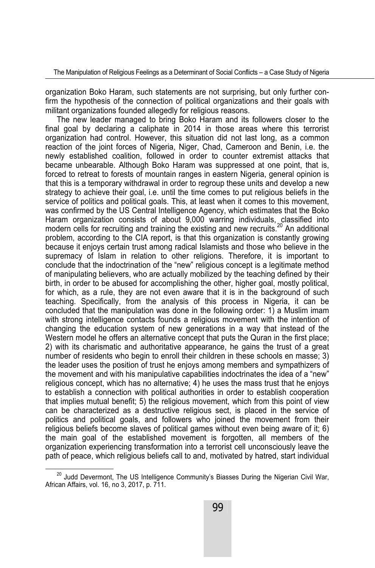organization Boko Haram, such statements are not surprising, but only further confirm the hypothesis of the connection of political organizations and their goals with militant organizations founded allegedly for religious reasons.

The new leader managed to bring Boko Haram and its followers closer to the final goal by declaring a caliphate in 2014 in those areas where this terrorist organization had control. However, this situation did not last long, as a common reaction of the joint forces of Nigeria, Niger, Chad, Cameroon and Benin, i.e. the newly established coalition, followed in order to counter extremist attacks that became unbearable. Although Boko Haram was suppressed at one point, that is, forced to retreat to forests of mountain ranges in eastern Nigeria, general opinion is that this is a temporary withdrawal in order to regroup these units and develop a new strategy to achieve their goal, i.e. until the time comes to put religious beliefs in the service of politics and political goals. This, at least when it comes to this movement, was confirmed by the US Central Intelligence Agency, which estimates that the Boko Haram organization consists of about 9,000 warring individuals, classified into modern cells for recruiting and training the existing and new recruits.<sup>20</sup> An additional problem, according to the CIA report, is that this organization is constantly growing because it enjoys certain trust among radical Islamists and those who believe in the supremacy of Islam in relation to other religions. Therefore, it is important to conclude that the indoctrination of the "new" religious concept is a legitimate method of manipulating believers, who are actually mobilized by the teaching defined by their birth, in order to be abused for accomplishing the other, higher goal, mostly political, for which, as a rule, they are not even aware that it is in the background of such teaching. Specifically, from the analysis of this process in Nigeria, it can be concluded that the manipulation was done in the following order: 1) a Muslim imam with strong intelligence contacts founds a religious movement with the intention of changing the education system of new generations in a way that instead of the Western model he offers an alternative concept that puts the Quran in the first place; 2) with its charismatic and authoritative appearance, he gains the trust of a great number of residents who begin to enroll their children in these schools en masse; 3) the leader uses the position of trust he enjoys among members and sympathizers of the movement and with his manipulative capabilities indoctrinates the idea of a "new" religious concept, which has no alternative; 4) he uses the mass trust that he enjoys to establish a connection with political authorities in order to establish cooperation that implies mutual benefit; 5) the religious movement, which from this point of view can be characterized as a destructive religious sect, is placed in the service of politics and political goals, and followers who joined the movement from their religious beliefs become slaves of political games without even being aware of it; 6) the main goal of the established movement is forgotten, all members of the organization experiencing transformation into a terrorist cell unconsciously leave the path of peace, which religious beliefs call to and, motivated by hatred, start individual

<sup>&</sup>lt;sup>20</sup> Judd Devermont, The US Intelligence Community's Biasses During the Nigerian Civil War, African Affairs, vol. 16, no 3, 2017, p. 711.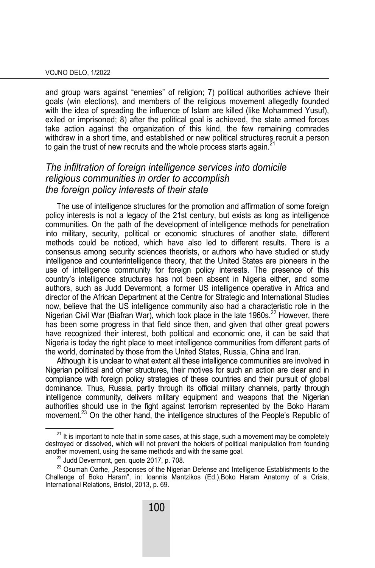and group wars against "enemies" of religion; 7) political authorities achieve their goals (win elections), and members of the religious movement allegedly founded with the idea of spreading the influence of Islam are killed (like Mohammed Yusuf), exiled or imprisoned; 8) after the political goal is achieved, the state armed forces take action against the organization of this kind, the few remaining comrades withdraw in a short time, and established or new political structures recruit a person to gain the trust of new recruits and the whole process starts again. $21$ 

#### *The infiltration of foreign intelligence services into domicile religious communities in order to accomplish the foreign policy interests of their state*

The use of intelligence structures for the promotion and affirmation of some foreign policy interests is not a legacy of the 21st century, but exists as long as intelligence communities. On the path of the development of intelligence methods for penetration into military, security, political or economic structures of another state, different methods could be noticed, which have also led to different results. There is a consensus among security sciences theorists, or authors who have studied or study intelligence and counterintelligence theory, that the United States are pioneers in the use of intelligence community for foreign policy interests. The presence of this country's intelligence structures has not been absent in Nigeria either, and some authors, such as Judd Devermont, a former US intelligence operative in Africa and director of the African Department at the Centre for Strategic and International Studies now, believe that the US intelligence community also had a characteristic role in the Nigerian Civil War (Biafran War), which took place in the late 1960s.<sup>22</sup> However, there has been some progress in that field since then, and given that other great powers have recognized their interest, both political and economic one, it can be said that Nigeria is today the right place to meet intelligence communities from different parts of the world, dominated by those from the United States, Russia, China and Iran.

Although it is unclear to what extent all these intelligence communities are involved in Nigerian political and other structures, their motives for such an action are clear and in compliance with foreign policy strategies of these countries and their pursuit of global dominance. Thus, Russia, partly through its official military channels, partly through intelligence community, delivers military equipment and weapons that the Nigerian authorities should use in the fight against terrorism represented by the Boko Haram movement.<sup>23</sup> On the other hand, the intelligence structures of the People's Republic of

 $21$  It is important to note that in some cases, at this stage, such a movement may be completely destroyed or dissolved, which will not prevent the holders of political manipulation from founding another movement, using the same methods and with the same goal. 22 Judd Devermont, gen. quote 2017, p. 708.

 $^{23}$  Osumah Oarhe, "Responses of the Nigerian Defense and Intelligence Establishments to the Challenge of Boko Haram", in: Ioannis Mantzikos (Ed.),Boko Haram Anatomy of a Crisis, International Relations, Bristol, 2013, p. 69.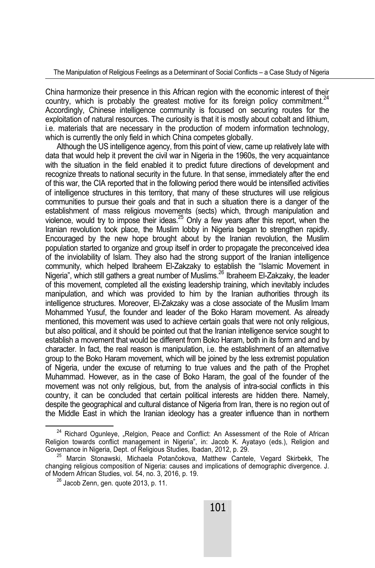China harmonize their presence in this African region with the economic interest of their country, which is probably the greatest motive for its foreign policy commitment.<sup>24</sup> Accordingly, Chinese intelligence community is focused on securing routes for the exploitation of natural resources. The curiosity is that it is mostly about cobalt and lithium, i.e. materials that are necessary in the production of modern information technology, which is currently the only field in which China competes globally.

Although the US intelligence agency, from this point of view, came up relatively late with data that would help it prevent the civil war in Nigeria in the 1960s, the very acquaintance with the situation in the field enabled it to predict future directions of development and recognize threats to national security in the future. In that sense, immediately after the end of this war, the CIA reported that in the following period there would be intensified activities of intelligence structures in this territory, that many of these structures will use religious communities to pursue their goals and that in such a situation there is a danger of the establishment of mass religious movements (sects) which, through manipulation and violence, would try to impose their ideas.<sup>25</sup> Only a few years after this report, when the Iranian revolution took place, the Muslim lobby in Nigeria began to strengthen rapidly. Encouraged by the new hope brought about by the Iranian revolution, the Muslim population started to organize and group itself in order to propagate the preconceived idea of the inviolability of Islam. They also had the strong support of the Iranian intelligence community, which helped Ibraheem El-Zakzaky to establish the "Islamic Movement in Nigeria", which still gathers a great number of Muslims.<sup>26</sup> Ibraheem El-Zakzaky, the leader of this movement, completed all the existing leadership training, which inevitably includes manipulation, and which was provided to him by the Iranian authorities through its intelligence structures. Moreover, El-Zakzaky was a close associate of the Muslim Imam Mohammed Yusuf, the founder and leader of the Boko Haram movement. As already mentioned, this movement was used to achieve certain goals that were not only religious, but also political, and it should be pointed out that the Iranian intelligence service sought to establish a movement that would be different from Boko Haram, both in its form and and by character. In fact, the real reason is manipulation, i.e. the establishment of an alternative group to the Boko Haram movement, which will be joined by the less extremist population of Nigeria, under the excuse of returning to true values and the path of the Prophet Muhammad. However, as in the case of Boko Haram, the goal of the founder of the movement was not only religious, but, from the analysis of intra-social conflicts in this country, it can be concluded that certain political interests are hidden there. Namely, despite the geographical and cultural distance of Nigeria from Iran, there is no region out of the Middle East in which the Iranian ideology has a greater influence than in northern

 $24$  Richard Ogunleye, "Relgion, Peace and Conflict: An Assessment of the Role of African Religion towards conflict management in Nigeria", in: Jacob K. Ayatayo (eds.), Religion and

<sup>&</sup>lt;sup>25</sup> Marcin Stonawski, Michaela Potančokova, Matthew Cantele, Vegard Skirbekk, The changing religious composition of Nigeria: causes and implications of demographic divergence. J.

 $^{26}$  Jacob Zenn, gen. quote 2013, p. 11.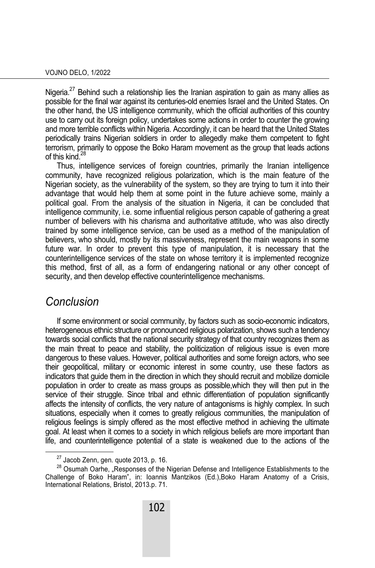Nigeria.<sup>27</sup> Behind such a relationship lies the Iranian aspiration to gain as many allies as possible for the final war against its centuries-old enemies Israel and the United States. On the other hand, the US intelligence community, which the official authorities of this country use to carry out its foreign policy, undertakes some actions in order to counter the growing and more terrible conflicts within Nigeria. Accordingly, it can be heard that the United States periodically trains Nigerian soldiers in order to allegedly make them competent to fight terrorism, primarily to oppose the Boko Haram movement as the group that leads actions of this kind.28

Thus, intelligence services of foreign countries, primarily the Iranian intelligence community, have recognized religious polarization, which is the main feature of the Nigerian society, as the vulnerability of the system, so they are trying to turn it into their advantage that would help them at some point in the future achieve some, mainly a political goal. From the analysis of the situation in Nigeria, it can be concluded that intelligence community, i.e. some influential religious person capable of gathering a great number of believers with his charisma and authoritative attitude, who was also directly trained by some intelligence service, can be used as a method of the manipulation of believers, who should, mostly by its massiveness, represent the main weapons in some future war. In order to prevent this type of manipulation, it is necessary that the counterintelligence services of the state on whose territory it is implemented recognize this method, first of all, as a form of endangering national or any other concept of security, and then develop effective counterintelligence mechanisms.

### *Conclusion*

If some environment or social community, by factors such as socio-economic indicators, heterogeneous ethnic structure or pronounced religious polarization, shows such a tendency towards social conflicts that the national security strategy of that country recognizes them as the main threat to peace and stability, the politicization of religious issue is even more dangerous to these values. However, political authorities and some foreign actors, who see their geopolitical, military or economic interest in some country, use these factors as indicators that guide them in the direction in which they should recruit and mobilize domicile population in order to create as mass groups as possible,which they will then put in the service of their struggle. Since tribal and ethnic differentiation of population significantly affects the intensity of conflicts, the very nature of antagonisms is highly complex. In such situations, especially when it comes to greatly religious communities, the manipulation of religious feelings is simply offered as the most effective method in achieving the ultimate goal. At least when it comes to a society in which religious beliefs are more important than life, and counterintelligence potential of a state is weakened due to the actions of the

 $27$  Jacob Zenn, gen. quote 2013, p. 16.

 $28$  Osumah Oarhe, "Responses of the Nigerian Defense and Intelligence Establishments to the Challenge of Boko Haram", in: Ioannis Mantzikos (Ed.),Boko Haram Anatomy of a Crisis, International Relations, Bristol, 2013.p. 71.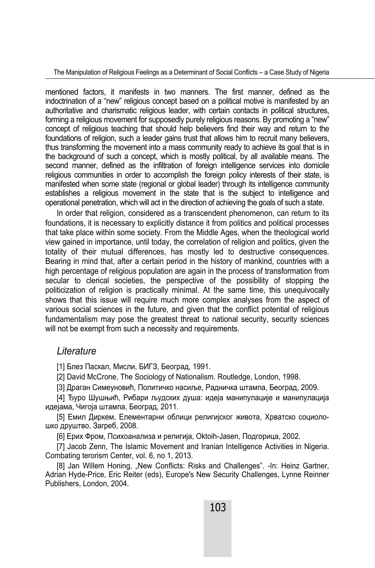The Manipulation of Religious Feelings as a Determinant of Social Conflicts – a Case Study of Nigeria

mentioned factors, it manifests in two manners. The first manner, defined as the indoctrination of a "new" religious concept based on a political motive is manifested by an authoritative and charismatic religious leader, with certain contacts in political structures, forming a religious movement for supposedly purely religious reasons. By promoting a "new" concept of religious teaching that should help believers find their way and return to the foundations of religion, such a leader gains trust that allows him to recruit many believers, thus transforming the movement into a mass community ready to achieve its goal that is in the background of such a concept, which is mostly political, by all available means. The second manner, defined as the infiltration of foreign intelligence services into domicile religious communities in order to accomplish the foreign policy interests of their state, is manifested when some state (regional or global leader) through its intelligence community establishes a religious movement in the state that is the subject to intelligence and operational penetration, which will act in the direction of achieving the goals of such a state.

In order that religion, considered as a transcendent phenomenon, can return to its foundations, it is necessary to explicitly distance it from politics and political processes that take place within some society. From the Middle Ages, when the theological world view gained in importance, until today, the correlation of religion and politics, given the totality of their mutual differences, has mostly led to destructive consequences. Bearing in mind that, after a certain period in the history of mankind, countries with a high percentage of religious population are again in the process of transformation from secular to clerical societies, the perspective of the possibility of stopping the politicization of religion is practically minimal. At the same time, this unequivocally shows that this issue will require much more complex analyses from the aspect of various social sciences in the future, and given that the conflict potential of religious fundamentalism may pose the greatest threat to national security, security sciences will not be exempt from such a necessity and requirements.

#### *Literature*

[1] Блез Паскал, Мисли, БИГЗ, Београд, 1991.

[2] David McCrone, The Sociology of Nationalism. Routledge, London, 1998.

[3] Драган Симеуновић, Политичко насиље, Радничка штампа, Београд, 2009.

[4] Ђуро Шушњић, Рибари људских душа: идеја манипулације и манипулација идејама, Чигоја штампа, Београд, 2011.

[5] Емил Диркем, Елементарни облици религијског живота, Хрватско социолошко друштво, Загреб, 2008.

[6] Ерих Фром, Психоанализа и религија, Oktoih-Jasen, Подгорица, 2002.

[7] Jacob Zenn, The Islamic Movement and Iranian Intelligence Activities in Nigeria. Combating terorism Center, vol. 6, no 1, 2013.

[8] Jan Willem Honing, "New Conflicts: Risks and Challenges". -In: Heinz Gartner, Adrian Hyde-Price, Eric Reiter (eds), Europe's New Security Challenges, Lynne Reinner Publishers, London, 2004.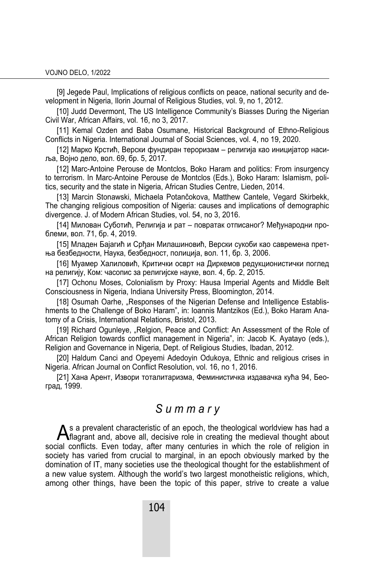[9] Jegede Paul, Implications of religious conflicts on peace, national security and development in Nigeria, Ilorin Journal of Religious Studies, vol. 9, no 1, 2012.

[10] Judd Devermont, The US Intelligence Community's Biasses During the Nigerian Civil War, African Affairs, vol. 16, no 3, 2017.

[11] Kemal Ozden and Baba Osumane, Historical Background of Ethno-Religious Conflicts in Nigeria. International Journal of Social Sciences, vol. 4, no 19, 2020.

[12] Марко Крстић, Верски фундиран тероризам – религија као иницијатор насиља, Војно дело, вол. 69, бр. 5, 2017.

[12] Marc-Antoine Perouse de Montclos, Boko Haram and politics: From insurgency to terrorism. In Marc-Antoine Perouse de Montclos (Eds.), Boko Haram: Islamism, politics, security and the state in Nigeria, African Studies Centre, Lieden, 2014.

[13] Marcin Stonawski, Michaela Potančokova, Matthew Cantele, Vegard Skirbekk, The changing religious composition of Nigeria: causes and implications of demographic divergence. J. of Modern African Studies, vol. 54, no 3, 2016.

[14] Милован Суботић, Религија и рат – повратак отписаног? Међународни проблеми, вол. 71, бр. 4, 2019.

[15] Младен Бајагић и Срђан Милашиновић, Верски сукоби као савремена претња безбедности, Наука, безбедност, полиција, вол. 11, бр. 3, 2006.

[16] Муамер Халиловић, Критички осврт на Диркемов редукционистички поглед на религију, Ком: часопис за религијске науке, вол. 4, бр. 2, 2015.

[17] Ochonu Moses, Colonialism by Proxy: Hausa Imperial Agents and Middle Belt Consciousness in Nigeria, Indiana University Press, Bloomington, 2014.

[18] Osumah Oarhe, "Responses of the Nigerian Defense and Intelligence Establishments to the Challenge of Boko Haram", in: Ioannis Mantzikos (Ed.), Boko Haram Anatomy of a Crisis, International Relations, Bristol, 2013.

[19] Richard Ogunleye, "Relgion, Peace and Conflict: An Assessment of the Role of African Religion towards conflict management in Nigeria", in: Jacob K. Ayatayo (eds.), Religion and Governance in Nigeria, Dept. of Religious Studies, Ibadan, 2012.

[20] Haldum Canci and Opeyemi Adedoyin Odukoya, Ethnic and religious crises in Nigeria. African Journal on Conflict Resolution, vol. 16, no 1, 2016.

[21] Хана Арент, Извори тоталитаризма, Феминистичка издавачка кућа 94, Београд, 1999.

## *S u m m a r y*

 $A$ s a prevalent characteristic of an epoch, the theological worldview has had a  $A$ flagrant and, above all, decisive role in creating the medieval thought about flagrant and, above all, decisive role in creating the medieval thought about social conflicts. Even today, after many centuries in which the role of religion in society has varied from crucial to marginal, in an epoch obviously marked by the domination of IT, many societies use the theological thought for the establishment of a new value system. Although the world's two largest monotheistic religions, which, among other things, have been the topic of this paper, strive to create a value